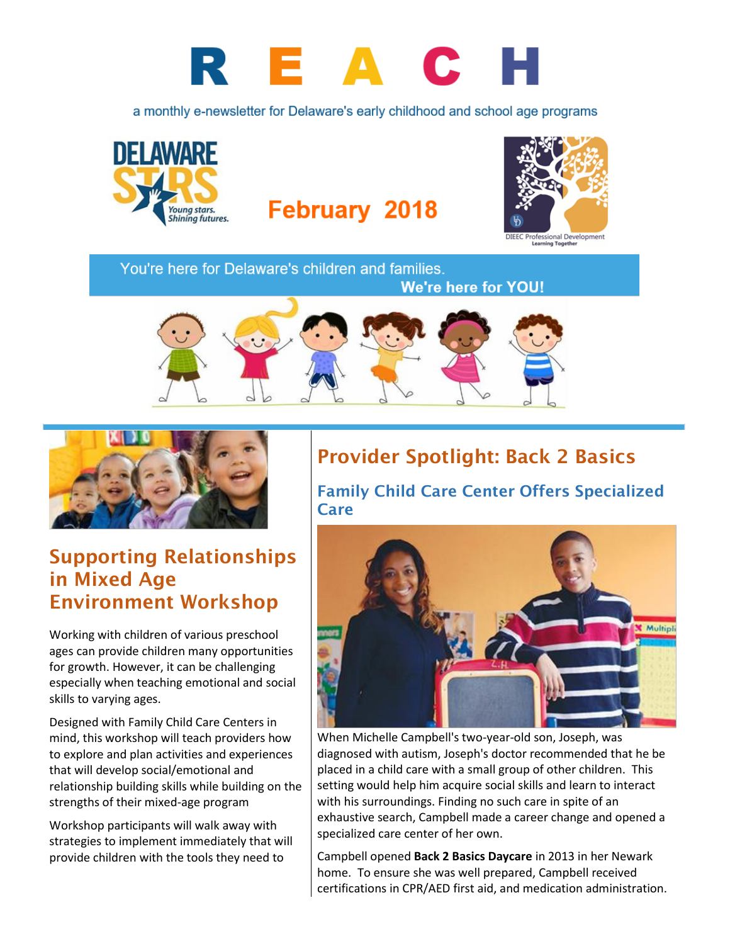

a monthly e-newsletter for Delaware's early childhood and school age programs



## **February 2018**



You're here for Delaware's children and families.





## Supporting Relationships in Mixed Age Environment Workshop

Working with children of various preschool ages can provide children many opportunities for growth. However, it can be challenging especially when teaching emotional and social skills to varying ages.

Designed with Family Child Care Centers in mind, this workshop will teach providers how to explore and plan activities and experiences that will develop social/emotional and relationship building skills while building on the strengths of their mixed-age program

Workshop participants will walk away with strategies to implement immediately that will provide children with the tools they need to

## Provider Spotlight: Back 2 Basics

Family Child Care Center Offers Specialized Care



When Michelle Campbell's two-year-old son, Joseph, was diagnosed with autism, Joseph's doctor recommended that he be placed in a child care with a small group of other children. This setting would help him acquire social skills and learn to interact with his surroundings. Finding no such care in spite of an exhaustive search, Campbell made a career change and opened a specialized care center of her own.

Campbell opened **Back 2 Basics Daycare** in 2013 in her Newark home. To ensure she was well prepared, Campbell received certifications in CPR/AED first aid, and medication administration.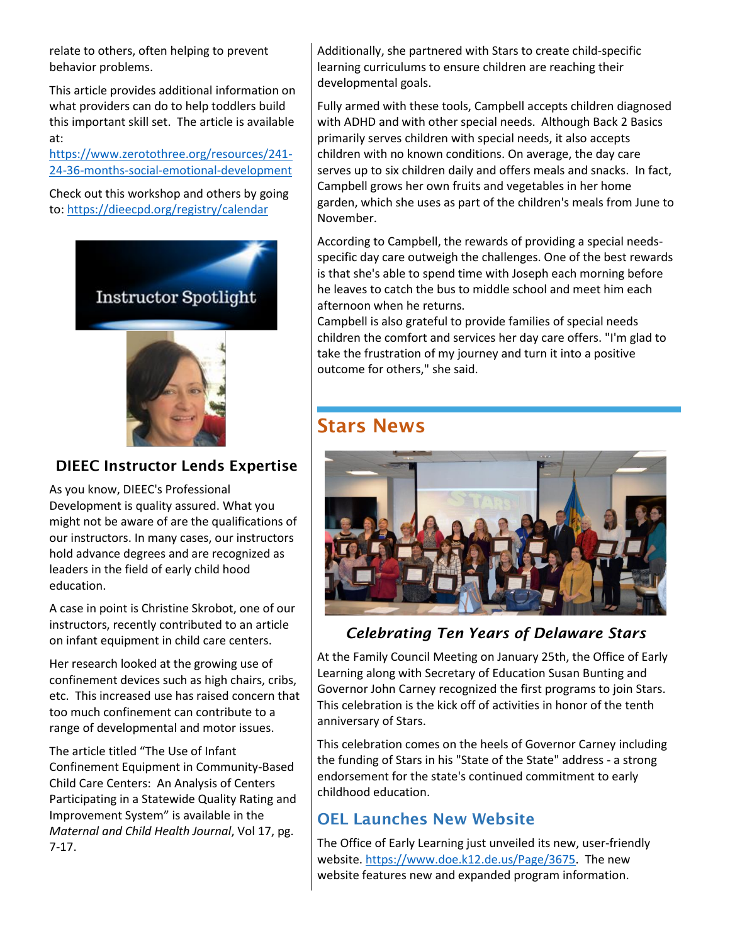relate to others, often helping to prevent behavior problems.

This article provides additional information on what providers can do to help toddlers build this important skill set. The article is available at:

[https://www.zerotothree.org/resources/241-](https://www.zerotothree.org/resources/241-24-36-months-social-emotional-development) [24-36-months-social-emotional-development](https://www.zerotothree.org/resources/241-24-36-months-social-emotional-development)

Check out this workshop and others by going to:<https://dieecpd.org/registry/calendar>



#### DIEEC Instructor Lends Expertise

As you know, DIEEC's Professional Development is quality assured. What you might not be aware of are the qualifications of our instructors. In many cases, our instructors hold advance degrees and are recognized as leaders in the field of early child hood education.

A case in point is Christine Skrobot, one of our instructors, recently contributed to an article on infant equipment in child care centers.

Her research looked at the growing use of confinement devices such as high chairs, cribs, etc. This increased use has raised concern that too much confinement can contribute to a range of developmental and motor issues.

The article titled "The Use of Infant Confinement Equipment in Community-Based Child Care Centers: An Analysis of Centers Participating in a Statewide Quality Rating and Improvement System" is available in the *Maternal and Child Health Journal*, Vol 17, pg. 7-17.

Additionally, she partnered with Stars to create child-specific learning curriculums to ensure children are reaching their developmental goals.

Fully armed with these tools, Campbell accepts children diagnosed with ADHD and with other special needs. Although Back 2 Basics primarily serves children with special needs, it also accepts children with no known conditions. On average, the day care serves up to six children daily and offers meals and snacks. In fact, Campbell grows her own fruits and vegetables in her home garden, which she uses as part of the children's meals from June to November.

According to Campbell, the rewards of providing a special needsspecific day care outweigh the challenges. One of the best rewards is that she's able to spend time with Joseph each morning before he leaves to catch the bus to middle school and meet him each afternoon when he returns.

Campbell is also grateful to provide families of special needs children the comfort and services her day care offers. "I'm glad to take the frustration of my journey and turn it into a positive outcome for others," she said.

## Stars News



#### *Celebrating Ten Years of Delaware Stars*

At the Family Council Meeting on January 25th, the Office of Early Learning along with Secretary of Education Susan Bunting and Governor John Carney recognized the first programs to join Stars. This celebration is the kick off of activities in honor of the tenth anniversary of Stars.

This celebration comes on the heels of Governor Carney including the funding of Stars in his "State of the State" address - a strong endorsement for the state's continued commitment to early childhood education.

### OEL Launches New Website

The Office of Early Learning just unveiled its new, user-friendly website[. https://www.doe.k12.de.us/Page/3675.](https://www.doe.k12.de.us/Page/3675) The new website features new and expanded program information.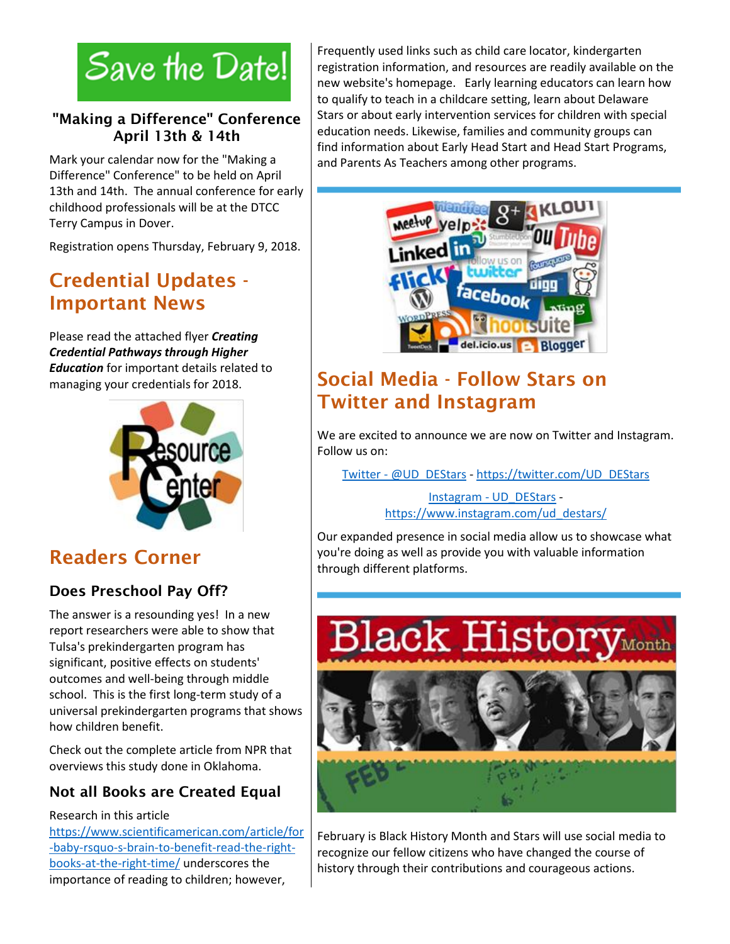# Save the Date!

#### "Making a Difference" Conference April 13th & 14th

Mark your calendar now for the "Making a Difference" Conference" to be held on April 13th and 14th. The annual conference for early childhood professionals will be at the DTCC Terry Campus in Dover.

Registration opens Thursday, February 9, 2018.

## Credential Updates - Important News

Please read the attached flyer *Creating Credential Pathways through Higher Education* for important details related to managing your credentials for 2018.



## Readers Corner

## Does Preschool Pay Off?

The answer is a resounding yes! In a new report researchers were able to show that Tulsa's prekindergarten program has significant, positive effects on students' outcomes and well-being through middle school. This is the first long-term study of a universal prekindergarten programs that shows how children benefit.

Check out the complete article from NPR that overviews this study done in Oklahoma.

## Not all Books are Created Equal

#### Research in this article

[https://www.scientificamerican.com/article/for](https://www.scientificamerican.com/article/for-baby-rsquo-s-brain-to-benefit-read-the-right-books-at-the-right-time/) [-baby-rsquo-s-brain-to-benefit-read-the-right](https://www.scientificamerican.com/article/for-baby-rsquo-s-brain-to-benefit-read-the-right-books-at-the-right-time/)[books-at-the-right-time/](https://www.scientificamerican.com/article/for-baby-rsquo-s-brain-to-benefit-read-the-right-books-at-the-right-time/) underscores the importance of reading to children; however,

Frequently used links such as child care locator, kindergarten registration information, and resources are readily available on the new website's homepage. Early learning educators can learn how to qualify to teach in a childcare setting, learn about Delaware Stars or about early intervention services for children with special education needs. Likewise, families and community groups can find information about Early Head Start and Head Start Programs, and Parents As Teachers among other programs.



## Social Media - Follow Stars on Twitter and Instagram

We are excited to announce we are now on Twitter and Instagram. Follow us on:

Twitter - [@UD\\_DEStars](https://twitter.com/UD_DEStars) - [https://twitter.com/UD\\_DEStars](https://twitter.com/UD_DEStars)

Instagram - [UD\\_DEStars](https://www.instagram.com/ud_destars/) [https://www.instagram.com/ud\\_destars/](https://www.instagram.com/ud_destars/)

Our expanded presence in social media allow us to showcase what you're doing as well as provide you with valuable information through different platforms.



February is Black History Month and Stars will use social media to recognize our fellow citizens who have changed the course of history through their contributions and courageous actions.